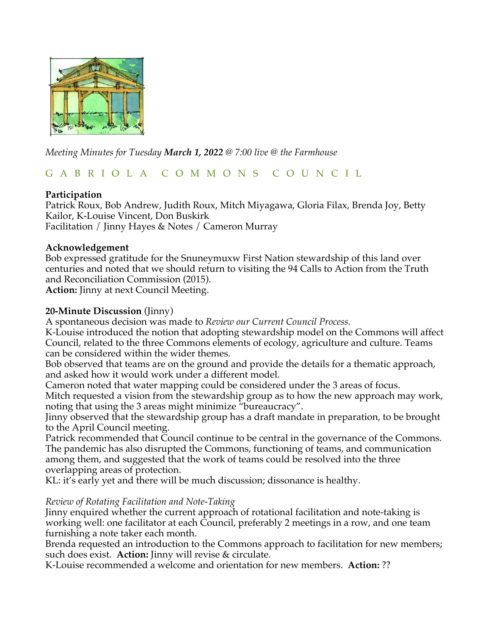

*Meeting Minutes for Tuesday March 1, 2022 @ 7:00 live @ the Farmhouse* 

# G A B R I O L A C O M M O N S C O U N C I L

## **Participation**

Patrick Roux, Bob Andrew, Judith Roux, Mitch Miyagawa, Gloria Filax, Brenda Joy, Betty Kailor, K-Louise Vincent, Don Buskirk Facilitation / Jinny Hayes & Notes / Cameron Murray

## **Acknowledgement**

Bob expressed gratitude for the Snuneymuxw First Nation stewardship of this land over centuries and noted that we should return to visiting the 94 Calls to Action from the Truth and Reconciliation Commission (2015).

**Action:** Jinny at next Council Meeting.

## **20-Minute Discussion** (Jinny)

A spontaneous decision was made to *Review our Current Council Process.* 

K-Louise introduced the notion that adopting stewardship model on the Commons will affect Council, related to the three Commons elements of ecology, agriculture and culture. Teams can be considered within the wider themes.

Bob observed that teams are on the ground and provide the details for a thematic approach, and asked how it would work under a different model.

Cameron noted that water mapping could be considered under the 3 areas of focus. Mitch requested a vision from the stewardship group as to how the new approach may work, noting that using the 3 areas might minimize "bureaucracy".

Jinny observed that the stewardship group has a draft mandate in preparation, to be brought to the April Council meeting.

Patrick recommended that Council continue to be central in the governance of the Commons. The pandemic has also disrupted the Commons, functioning of teams, and communication among them, and suggested that the work of teams could be resolved into the three overlapping areas of protection.

KL: it's early yet and there will be much discussion; dissonance is healthy.

### *Review of Rotating Facilitation and Note-Taking*

Jinny enquired whether the current approach of rotational facilitation and note-taking is working well: one facilitator at each Council, preferably 2 meetings in a row, and one team furnishing a note taker each month.

Brenda requested an introduction to the Commons approach to facilitation for new members; such does exist. **Action:** Jinny will revise & circulate.

K-Louise recommended a welcome and orientation for new members. **Action:** ??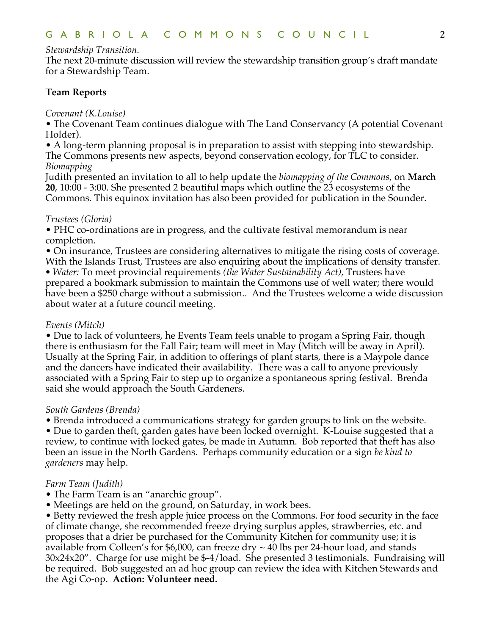### *Stewardship Transition.*

The next 20-minute discussion will review the stewardship transition group's draft mandate for a Stewardship Team.

### **Team Reports**

#### *Covenant (K.Louise)*

• The Covenant Team continues dialogue with The Land Conservancy (A potential Covenant Holder).

• A long-term planning proposal is in preparation to assist with stepping into stewardship. The Commons presents new aspects, beyond conservation ecology, for TLC to consider. *Biomapping*

Judith presented an invitation to all to help update the *biomapping of the Commons*, on **March 20**, 10:00 - 3:00. She presented 2 beautiful maps which outline the 23 ecosystems of the Commons. This equinox invitation has also been provided for publication in the Sounder.

### *Trustees (Gloria)*

• PHC co-ordinations are in progress, and the cultivate festival memorandum is near completion.

• On insurance, Trustees are considering alternatives to mitigate the rising costs of coverage. With the Islands Trust, Trustees are also enquiring about the implications of density transfer.

*• Water:* To meet provincial requirements *(the Water Sustainability Act),* Trustees have prepared a bookmark submission to maintain the Commons use of well water; there would have been a \$250 charge without a submission.. And the Trustees welcome a wide discussion about water at a future council meeting.

### *Events (Mitch)*

• Due to lack of volunteers, he Events Team feels unable to progam a Spring Fair, though there is enthusiasm for the Fall Fair; team will meet in May (Mitch will be away in April). Usually at the Spring Fair, in addition to offerings of plant starts, there is a Maypole dance and the dancers have indicated their availability. There was a call to anyone previously associated with a Spring Fair to step up to organize a spontaneous spring festival. Brenda said she would approach the South Gardeners.

### *South Gardens (Brenda)*

• Brenda introduced a communications strategy for garden groups to link on the website.

• Due to garden theft, garden gates have been locked overnight. K-Louise suggested that a review, to continue with locked gates, be made in Autumn. Bob reported that theft has also been an issue in the North Gardens. Perhaps community education or a sign *be kind to gardeners* may help.

### *Farm Team (Judith)*

- The Farm Team is an "anarchic group".
- Meetings are held on the ground, on Saturday, in work bees.

• Betty reviewed the fresh apple juice process on the Commons. For food security in the face of climate change, she recommended freeze drying surplus apples, strawberries, etc. and proposes that a drier be purchased for the Community Kitchen for community use; it is available from Colleen's for \$6,000, can freeze dry  $\sim$  40 lbs per 24-hour load, and stands 30x24x20". Charge for use might be \$-4/load. She presented 3 testimonials. Fundraising will be required. Bob suggested an ad hoc group can review the idea with Kitchen Stewards and the Agi Co-op. **Action: Volunteer need.**